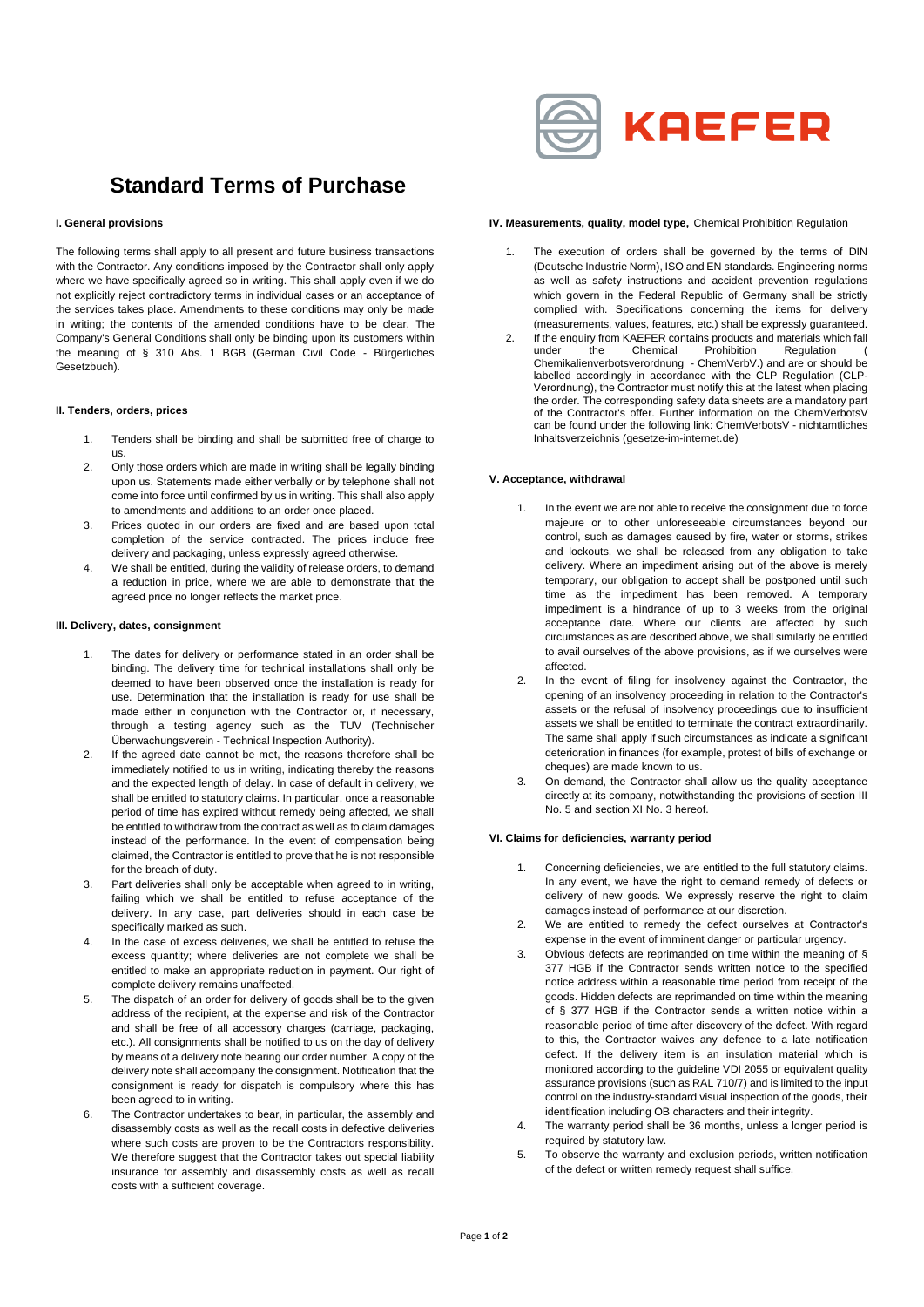

## **Standard Terms of Purchase**

### **I. General provisions**

The following terms shall apply to all present and future business transactions with the Contractor. Any conditions imposed by the Contractor shall only apply where we have specifically agreed so in writing. This shall apply even if we do not explicitly reject contradictory terms in individual cases or an acceptance of the services takes place. Amendments to these conditions may only be made in writing; the contents of the amended conditions have to be clear. The Company's General Conditions shall only be binding upon its customers within the meaning of § 310 Abs. 1 BGB (German Civil Code - Bürgerliches Gesetzbuch).

### **II. Tenders, orders, prices**

- 1. Tenders shall be binding and shall be submitted free of charge to us.
- 2. Only those orders which are made in writing shall be legally binding upon us. Statements made either verbally or by telephone shall not come into force until confirmed by us in writing. This shall also apply to amendments and additions to an order once placed.
- 3. Prices quoted in our orders are fixed and are based upon total completion of the service contracted. The prices include free delivery and packaging, unless expressly agreed otherwise.
- 4. We shall be entitled, during the validity of release orders, to demand a reduction in price, where we are able to demonstrate that the agreed price no longer reflects the market price.

#### **III. Delivery, dates, consignment**

- 1. The dates for delivery or performance stated in an order shall be binding. The delivery time for technical installations shall only be deemed to have been observed once the installation is ready for use. Determination that the installation is ready for use shall be made either in conjunction with the Contractor or, if necessary, through a testing agency such as the TUV (Technischer Überwachungsverein - Technical Inspection Authority).
- 2. If the agreed date cannot be met, the reasons therefore shall be immediately notified to us in writing, indicating thereby the reasons and the expected length of delay. In case of default in delivery, we shall be entitled to statutory claims. In particular, once a reasonable period of time has expired without remedy being affected, we shall be entitled to withdraw from the contract as well as to claim damages instead of the performance. In the event of compensation being claimed, the Contractor is entitled to prove that he is not responsible for the breach of duty.
- 3. Part deliveries shall only be acceptable when agreed to in writing, failing which we shall be entitled to refuse acceptance of the delivery. In any case, part deliveries should in each case be specifically marked as such.
- 4. In the case of excess deliveries, we shall be entitled to refuse the excess quantity; where deliveries are not complete we shall be entitled to make an appropriate reduction in payment. Our right of complete delivery remains unaffected.
- 5. The dispatch of an order for delivery of goods shall be to the given address of the recipient, at the expense and risk of the Contractor and shall be free of all accessory charges (carriage, packaging, etc.). All consignments shall be notified to us on the day of delivery by means of a delivery note bearing our order number. A copy of the delivery note shall accompany the consignment. Notification that the consignment is ready for dispatch is compulsory where this has been agreed to in writing.
- 6. The Contractor undertakes to bear, in particular, the assembly and disassembly costs as well as the recall costs in defective deliveries where such costs are proven to be the Contractors responsibility. We therefore suggest that the Contractor takes out special liability insurance for assembly and disassembly costs as well as recall costs with a sufficient coverage.

### **IV. Measurements, quality, model type,** Chemical Prohibition Regulation

- The execution of orders shall be governed by the terms of DIN (Deutsche Industrie Norm), ISO and EN standards. Engineering norms as well as safety instructions and accident prevention regulations which govern in the Federal Republic of Germany shall be strictly complied with. Specifications concerning the items for delivery (measurements, values, features, etc.) shall be expressly guaranteed.
- 2. If the enquiry from KAEFER contains products and materials which fall under the Chemical Prohibition Regulation ( Chemikalienverbotsverordnung - ChemVerbV.) and are or should be labelled accordingly in accordance with the CLP Regulation (CLP-Verordnung), the Contractor must notify this at the latest when placing the order. The corresponding safety data sheets are a mandatory part of the Contractor's offer. Further information on the ChemVerbotsV can be found under the following link: ChemVerbotsV - nichtamtliches Inhaltsverzeichnis (gesetze-im-internet.de)

### **V. Acceptance, withdrawal**

- 1. In the event we are not able to receive the consignment due to force majeure or to other unforeseeable circumstances beyond our control, such as damages caused by fire, water or storms, strikes and lockouts, we shall be released from any obligation to take delivery. Where an impediment arising out of the above is merely temporary, our obligation to accept shall be postponed until such time as the impediment has been removed. A temporary impediment is a hindrance of up to 3 weeks from the original acceptance date. Where our clients are affected by such circumstances as are described above, we shall similarly be entitled to avail ourselves of the above provisions, as if we ourselves were affected.
- 2. In the event of filing for insolvency against the Contractor, the opening of an insolvency proceeding in relation to the Contractor's assets or the refusal of insolvency proceedings due to insufficient assets we shall be entitled to terminate the contract extraordinarily. The same shall apply if such circumstances as indicate a significant deterioration in finances (for example, protest of bills of exchange or cheques) are made known to us.
- 3. On demand, the Contractor shall allow us the quality acceptance directly at its company, notwithstanding the provisions of section III No. 5 and section XI No. 3 hereof.

### **VI. Claims for deficiencies, warranty period**

- Concerning deficiencies, we are entitled to the full statutory claims. In any event, we have the right to demand remedy of defects or delivery of new goods. We expressly reserve the right to claim damages instead of performance at our discretion.
- 2. We are entitled to remedy the defect ourselves at Contractor's expense in the event of imminent danger or particular urgency.
- 3. Obvious defects are reprimanded on time within the meaning of § 377 HGB if the Contractor sends written notice to the specified notice address within a reasonable time period from receipt of the goods. Hidden defects are reprimanded on time within the meaning of § 377 HGB if the Contractor sends a written notice within a reasonable period of time after discovery of the defect. With regard to this, the Contractor waives any defence to a late notification defect. If the delivery item is an insulation material which is monitored according to the guideline VDI 2055 or equivalent quality assurance provisions (such as RAL 710/7) and is limited to the input control on the industry-standard visual inspection of the goods, their identification including OB characters and their integrity.
- 4. The warranty period shall be 36 months, unless a longer period is required by statutory law.
- 5. To observe the warranty and exclusion periods, written notification of the defect or written remedy request shall suffice.